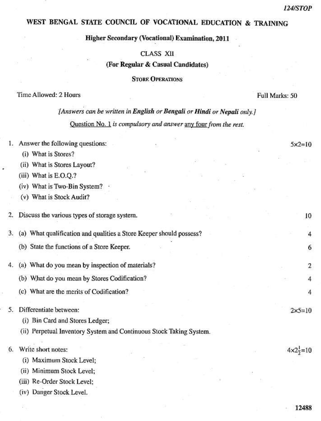12488

# WEST BENGAL STATE COUNCIL OF VOCATIONAL EDUCATION & TRAINING

## **Higher Secondary (Vocational) Examination, 2011**

### CLASS XII

### (For Regular & Casual Candidates)

### **STORE OPERATIONS**

#### Time Allowed: 2 Hours

Full Marks: 50

# [Answers can be written in English or Bengali or Hindi or Nepali only.] Question No. 1 is compulsory and answer any four from the rest.

| 1. | Answer the following questions:                                     | $5x2=10$                     |  |
|----|---------------------------------------------------------------------|------------------------------|--|
|    | (i) What is Stores?                                                 |                              |  |
|    | (ii) What is Stores Layout?                                         |                              |  |
|    | (iii) What is E.O.Q.?                                               |                              |  |
|    | (iv) What is Two-Bin System?                                        |                              |  |
|    | (v) What is Stock Audit?                                            |                              |  |
|    |                                                                     |                              |  |
| 2. | Discuss the various types of storage system.                        | 10                           |  |
| 3. | (a) What qualification and qualities a Store Keeper should possess? | 4                            |  |
|    | (b) State the functions of a Store Keeper.                          | 6                            |  |
|    |                                                                     |                              |  |
| 4. | (a) What do you mean by inspection of materials?                    | $\overline{2}$               |  |
|    | (b) What do you mean by Stores Codification?                        | 4                            |  |
|    | (c) What are the merits of Codification?                            | 4                            |  |
|    | Differentiate between:                                              | $2x5=10$                     |  |
|    | (i) Bin Card and Stores Ledger;                                     |                              |  |
|    | (ii) Perpetual Inventory System and Continuous Stock Taking System. |                              |  |
|    |                                                                     |                              |  |
| 6. | Write short notes:                                                  | $4 \times 2\frac{1}{2} = 10$ |  |
|    | (i) Maximum Stock Level;                                            |                              |  |
|    | (ii) Minimum Stock Level;                                           |                              |  |
|    | (iii) Re-Order Stock Level;                                         |                              |  |
|    | (iv) Danger Stock Level.                                            |                              |  |
|    |                                                                     |                              |  |